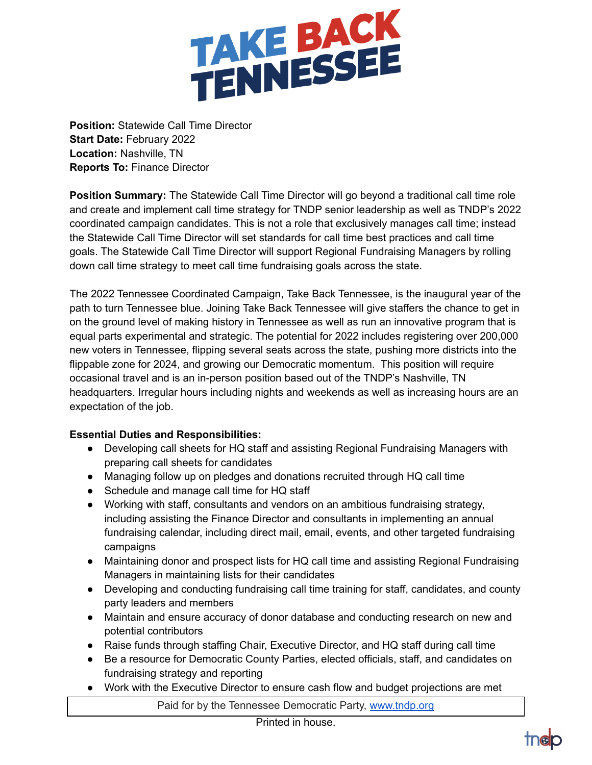

**Position:** Statewide Call Time Director **Start Date:** February 2022 **Location:** Nashville, TN **Reports To:** Finance Director

**Position Summary:** The Statewide Call Time Director will go beyond a traditional call time role and create and implement call time strategy for TNDP senior leadership as well as TNDP's 2022 coordinated campaign candidates. This is not a role that exclusively manages call time; instead the Statewide Call Time Director will set standards for call time best practices and call time goals. The Statewide Call Time Director will support Regional Fundraising Managers by rolling down call time strategy to meet call time fundraising goals across the state.

The 2022 Tennessee Coordinated Campaign, Take Back Tennessee, is the inaugural year of the path to turn Tennessee blue. Joining Take Back Tennessee will give staffers the chance to get in on the ground level of making history in Tennessee as well as run an innovative program that is equal parts experimental and strategic. The potential for 2022 includes registering over 200,000 new voters in Tennessee, flipping several seats across the state, pushing more districts into the flippable zone for 2024, and growing our Democratic momentum. This position will require occasional travel and is an in-person position based out of the TNDP's Nashville, TN headquarters. Irregular hours including nights and weekends as well as increasing hours are an expectation of the job.

## **Essential Duties and Responsibilities:**

- Developing call sheets for HQ staff and assisting Regional Fundraising Managers with preparing call sheets for candidates
- Managing follow up on pledges and donations recruited through HQ call time
- Schedule and manage call time for HQ staff
- Working with staff, consultants and vendors on an ambitious fundraising strategy, including assisting the Finance Director and consultants in implementing an annual fundraising calendar, including direct mail, email, events, and other targeted fundraising campaigns
- Maintaining donor and prospect lists for HQ call time and assisting Regional Fundraising Managers in maintaining lists for their candidates
- Developing and conducting fundraising call time training for staff, candidates, and county party leaders and members
- Maintain and ensure accuracy of donor database and conducting research on new and potential contributors
- Raise funds through staffing Chair, Executive Director, and HQ staff during call time
- Be a resource for Democratic County Parties, elected officials, staff, and candidates on fundraising strategy and reporting
- Work with the Executive Director to ensure cash flow and budget projections are met

Paid for by the Tennessee Democratic Party, [www.tndp.org](http://www.tndp.org/)

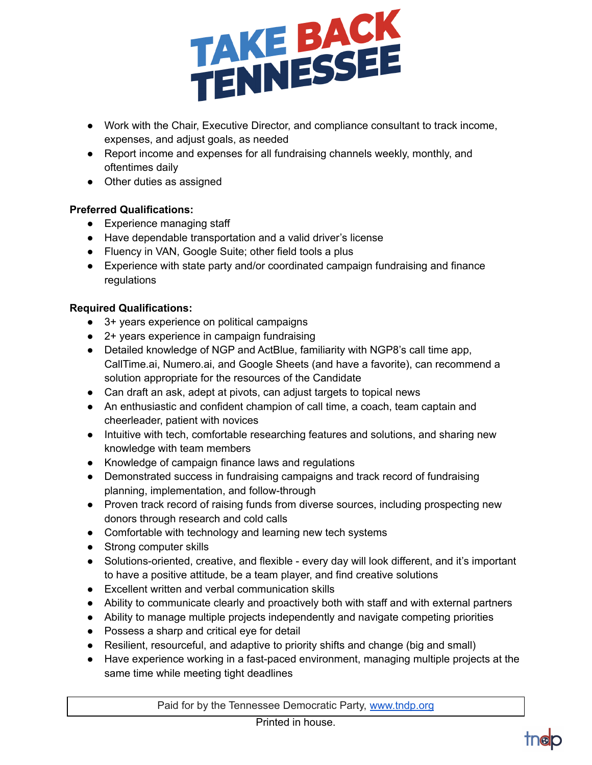

- Work with the Chair, Executive Director, and compliance consultant to track income, expenses, and adjust goals, as needed
- Report income and expenses for all fundraising channels weekly, monthly, and oftentimes daily
- Other duties as assigned

## **Preferred Qualifications:**

- Experience managing staff
- Have dependable transportation and a valid driver's license
- Fluency in VAN, Google Suite; other field tools a plus
- Experience with state party and/or coordinated campaign fundraising and finance regulations

## **Required Qualifications:**

- 3+ years experience on political campaigns
- 2+ years experience in campaign fundraising
- Detailed knowledge of NGP and ActBlue, familiarity with NGP8's call time app, CallTime.ai, Numero.ai, and Google Sheets (and have a favorite), can recommend a solution appropriate for the resources of the Candidate
- Can draft an ask, adept at pivots, can adjust targets to topical news
- An enthusiastic and confident champion of call time, a coach, team captain and cheerleader, patient with novices
- Intuitive with tech, comfortable researching features and solutions, and sharing new knowledge with team members
- Knowledge of campaign finance laws and regulations
- Demonstrated success in fundraising campaigns and track record of fundraising planning, implementation, and follow-through
- Proven track record of raising funds from diverse sources, including prospecting new donors through research and cold calls
- Comfortable with technology and learning new tech systems
- Strong computer skills
- Solutions-oriented, creative, and flexible every day will look different, and it's important to have a positive attitude, be a team player, and find creative solutions
- Excellent written and verbal communication skills
- Ability to communicate clearly and proactively both with staff and with external partners
- Ability to manage multiple projects independently and navigate competing priorities
- Possess a sharp and critical eye for detail
- Resilient, resourceful, and adaptive to priority shifts and change (big and small)
- Have experience working in a fast-paced environment, managing multiple projects at the same time while meeting tight deadlines

Paid for by the Tennessee Democratic Party, [www.tndp.org](http://www.tndp.org/)